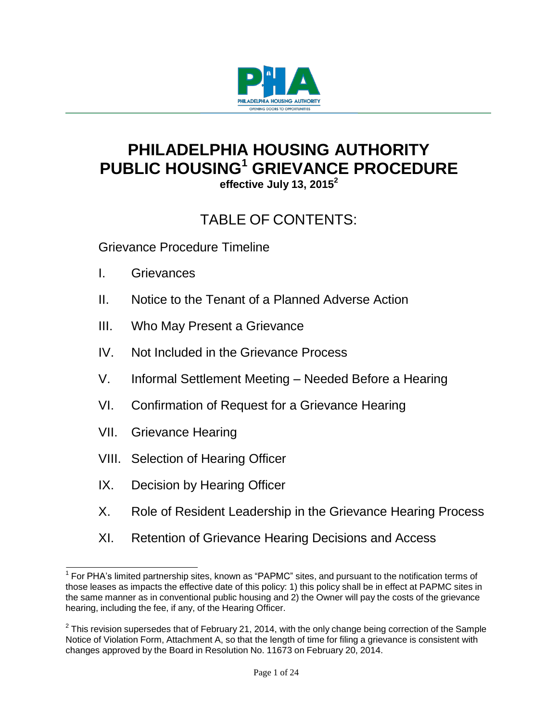

# **PHILADELPHIA HOUSING AUTHORITY PUBLIC HOUSING<sup>1</sup> GRIEVANCE PROCEDURE**

**effective July 13, 2015<sup>2</sup>**

## TABLE OF CONTENTS:

Grievance Procedure Timeline

- I. Grievances
- II. Notice to the Tenant of a Planned Adverse Action
- III. Who May Present a Grievance
- IV. Not Included in the Grievance Process
- V. Informal Settlement Meeting Needed Before a Hearing
- VI. Confirmation of Request for a Grievance Hearing
- VII. Grievance Hearing
- VIII. Selection of Hearing Officer
- IX. Decision by Hearing Officer
- X. Role of Resident Leadership in the Grievance Hearing Process
- XI. Retention of Grievance Hearing Decisions and Access

 $1$  For PHA's limited partnership sites, known as "PAPMC" sites, and pursuant to the notification terms of those leases as impacts the effective date of this policy: 1) this policy shall be in effect at PAPMC sites in the same manner as in conventional public housing and 2) the Owner will pay the costs of the grievance hearing, including the fee, if any, of the Hearing Officer.

 $^{2}$  This revision supersedes that of February 21, 2014, with the only change being correction of the Sample Notice of Violation Form, Attachment A, so that the length of time for filing a grievance is consistent with changes approved by the Board in Resolution No. 11673 on February 20, 2014.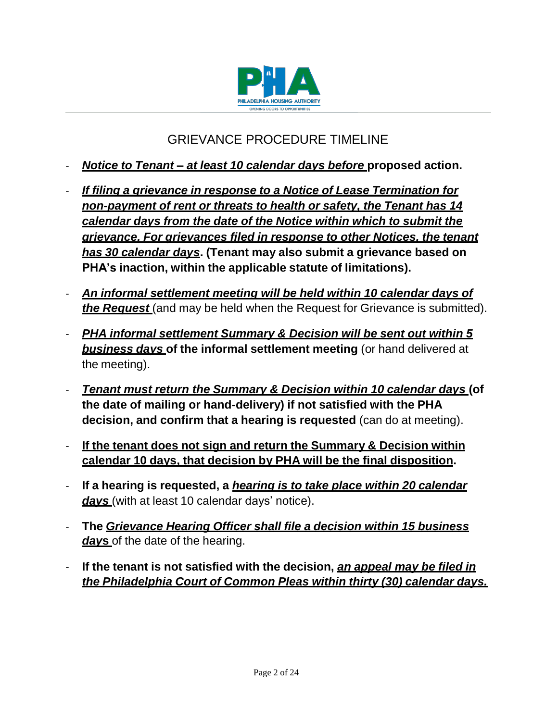

## GRIEVANCE PROCEDURE TIMELINE

- *Notice to Tenant – at least 10 calendar days before* **proposed action.**
- *If filing a grievance in response to a Notice of Lease Termination for non-payment of rent or threats to health or safety, the Tenant has 14 calendar days from the date of the Notice within which to submit the grievance. For grievances filed in response to other Notices, the tenant has 30 calendar days***. (Tenant may also submit a grievance based on PHA's inaction, within the applicable statute of limitations).**
- *An informal settlement meeting will be held within 10 calendar days of the Request* (and may be held when the Request for Grievance is submitted).
- *PHA informal settlement Summary & Decision will be sent out within 5 business days* **of the informal settlement meeting** (or hand delivered at the meeting).
- *Tenant must return the Summary & Decision within 10 calendar days* **(of the date of mailing or hand-delivery) if not satisfied with the PHA decision, and confirm that a hearing is requested** (can do at meeting).
- **If the tenant does not sign and return the Summary & Decision within calendar 10 days, that decision by PHA will be the final disposition.**
- **If a hearing is requested, a** *hearing is to take place within 20 calendar days* (with at least 10 calendar days' notice).
- **The** *Grievance Hearing Officer shall file a decision within 15 business day***s** of the date of the hearing.
- **If the tenant is not satisfied with the decision,** *an appeal may be filed in the Philadelphia Court of Common Pleas within thirty (30) calendar days.*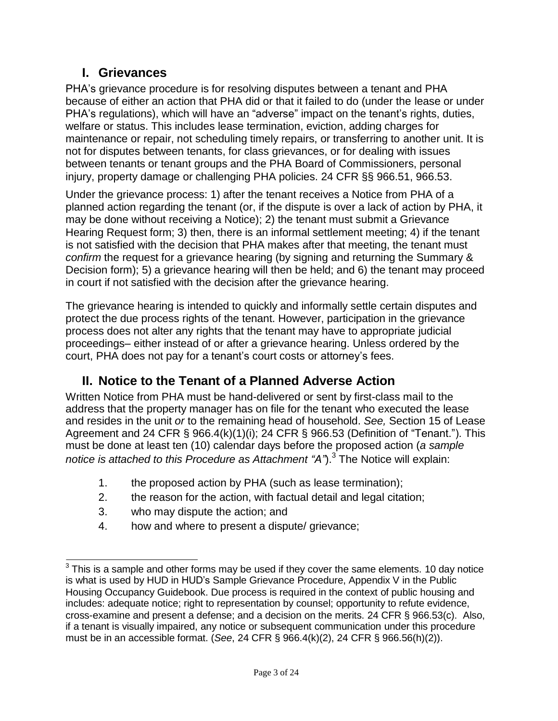## **I. Grievances**

PHA's grievance procedure is for resolving disputes between a tenant and PHA because of either an action that PHA did or that it failed to do (under the lease or under PHA's regulations), which will have an "adverse" impact on the tenant's rights, duties, welfare or status. This includes lease termination, eviction, adding charges for maintenance or repair, not scheduling timely repairs, or transferring to another unit. It is not for disputes between tenants, for class grievances, or for dealing with issues between tenants or tenant groups and the PHA Board of Commissioners, personal injury, property damage or challenging PHA policies. 24 CFR §§ 966.51, 966.53.

Under the grievance process: 1) after the tenant receives a Notice from PHA of a planned action regarding the tenant (or, if the dispute is over a lack of action by PHA, it may be done without receiving a Notice); 2) the tenant must submit a Grievance Hearing Request form; 3) then, there is an informal settlement meeting; 4) if the tenant is not satisfied with the decision that PHA makes after that meeting, the tenant must *confirm* the request for a grievance hearing (by signing and returning the Summary & Decision form); 5) a grievance hearing will then be held; and 6) the tenant may proceed in court if not satisfied with the decision after the grievance hearing.

The grievance hearing is intended to quickly and informally settle certain disputes and protect the due process rights of the tenant. However, participation in the grievance process does not alter any rights that the tenant may have to appropriate judicial proceedings– either instead of or after a grievance hearing. Unless ordered by the court, PHA does not pay for a tenant's court costs or attorney's fees.

## **II. Notice to the Tenant of a Planned Adverse Action**

Written Notice from PHA must be hand-delivered or sent by first-class mail to the address that the property manager has on file for the tenant who executed the lease and resides in the unit *or* to the remaining head of household. *See,* Section 15 of Lease Agreement and 24 CFR § 966.4(k)(1)(i); 24 CFR § 966.53 (Definition of "Tenant."). This must be done at least ten (10) calendar days before the proposed action (*a sample notice is attached to this Procedure as Attachment "A"*).<sup>3</sup> The Notice will explain:

- 1. the proposed action by PHA (such as lease termination);
- 2. the reason for the action, with factual detail and legal citation;
- 3. who may dispute the action; and
- 4. how and where to present a dispute/ grievance;

 $3$  This is a sample and other forms may be used if they cover the same elements. 10 day notice is what is used by HUD in HUD's Sample Grievance Procedure, Appendix V in the Public Housing Occupancy Guidebook. Due process is required in the context of public housing and includes: adequate notice; right to representation by counsel; opportunity to refute evidence, cross-examine and present a defense; and a decision on the merits. 24 CFR § 966.53(c). Also, if a tenant is visually impaired, any notice or subsequent communication under this procedure must be in an accessible format. (*See*, 24 CFR § 966.4(k)(2), 24 CFR § 966.56(h)(2)).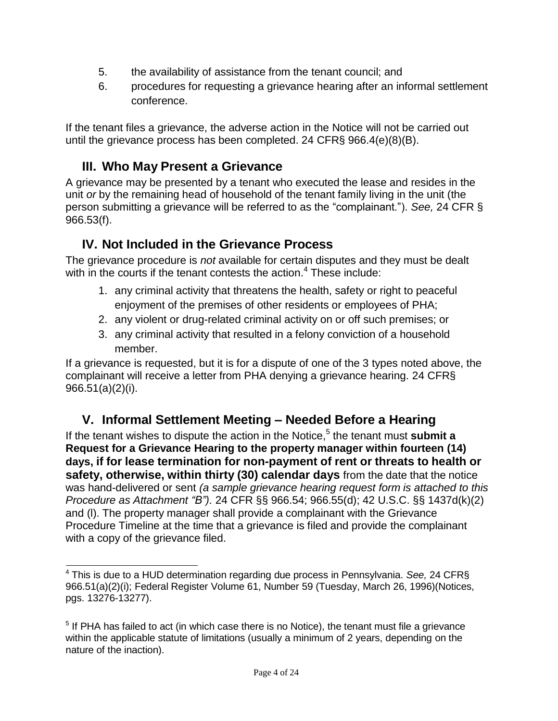- 5. the availability of assistance from the tenant council; and
- 6. procedures for requesting a grievance hearing after an informal settlement conference.

If the tenant files a grievance, the adverse action in the Notice will not be carried out until the grievance process has been completed. 24 CFR§ 966.4(e)(8)(B).

## **III. Who May Present a Grievance**

A grievance may be presented by a tenant who executed the lease and resides in the unit *or* by the remaining head of household of the tenant family living in the unit (the person submitting a grievance will be referred to as the "complainant."). *See,* 24 CFR § 966.53(f).

## **IV. Not Included in the Grievance Process**

The grievance procedure is *not* available for certain disputes and they must be dealt with in the courts if the tenant contests the action.<sup>4</sup> These include:

- 1. any criminal activity that threatens the health, safety or right to peaceful enjoyment of the premises of other residents or employees of PHA;
- 2. any violent or drug-related criminal activity on or off such premises; or
- 3. any criminal activity that resulted in a felony conviction of a household member.

If a grievance is requested, but it is for a dispute of one of the 3 types noted above, the complainant will receive a letter from PHA denying a grievance hearing. 24 CFR§ 966.51(a)(2)(i).

## **V. Informal Settlement Meeting – Needed Before a Hearing**

If the tenant wishes to dispute the action in the Notice,<sup>5</sup> the tenant must submit a **Request for a Grievance Hearing to the property manager within fourteen (14) days, if for lease termination for non-payment of rent or threats to health or safety, otherwise, within thirty (30) calendar days** from the date that the notice was hand-delivered or sent *(a sample grievance hearing request form is attached to this Procedure as Attachment "B").* 24 CFR §§ 966.54; 966.55(d); 42 U.S.C. §§ 1437d(k)(2) and (l). The property manager shall provide a complainant with the Grievance Procedure Timeline at the time that a grievance is filed and provide the complainant with a copy of the grievance filed.

<sup>4</sup> This is due to a HUD determination regarding due process in Pennsylvania. *See,* 24 CFR§ 966.51(a)(2)(i); Federal Register Volume 61, Number 59 (Tuesday, March 26, 1996)(Notices, pgs. 13276-13277).

 $<sup>5</sup>$  If PHA has failed to act (in which case there is no Notice), the tenant must file a grievance</sup> within the applicable statute of limitations (usually a minimum of 2 years, depending on the nature of the inaction).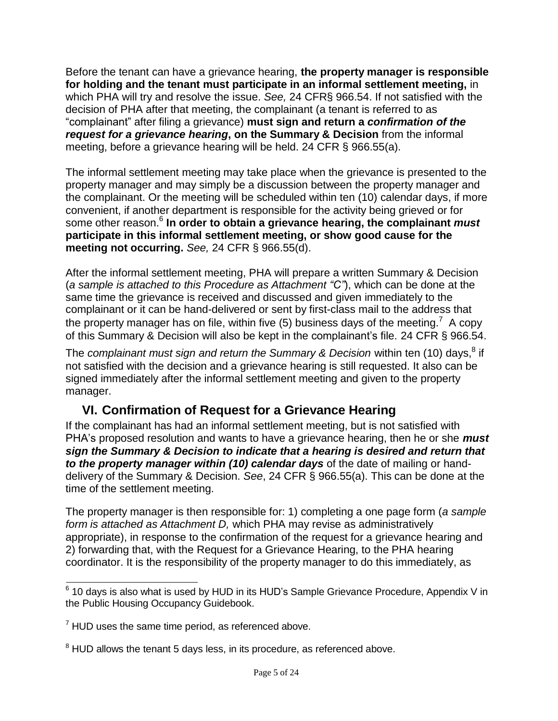Before the tenant can have a grievance hearing, **the property manager is responsible for holding and the tenant must participate in an informal settlement meeting,** in which PHA will try and resolve the issue. *See,* 24 CFR§ 966.54. If not satisfied with the decision of PHA after that meeting, the complainant (a tenant is referred to as "complainant" after filing a grievance) **must sign and return a** *confirmation of the request for a grievance hearing***, on the Summary & Decision** from the informal meeting, before a grievance hearing will be held. 24 CFR § 966.55(a).

The informal settlement meeting may take place when the grievance is presented to the property manager and may simply be a discussion between the property manager and the complainant. Or the meeting will be scheduled within ten (10) calendar days, if more convenient, if another department is responsible for the activity being grieved or for some other reason.<sup>6</sup> **In order to obtain a grievance hearing, the complainant** *must* **participate in this informal settlement meeting, or show good cause for the meeting not occurring.** *See,* 24 CFR § 966.55(d).

After the informal settlement meeting, PHA will prepare a written Summary & Decision (*a sample is attached to this Procedure as Attachment "C"*), which can be done at the same time the grievance is received and discussed and given immediately to the complainant or it can be hand-delivered or sent by first-class mail to the address that the property manager has on file, within five (5) business days of the meeting.<sup>7</sup> A copy of this Summary & Decision will also be kept in the complainant's file. 24 CFR § 966.54.

The *complainant must sign and return the Summary & Decision within ten (10) days,<sup>8</sup> if* not satisfied with the decision and a grievance hearing is still requested. It also can be signed immediately after the informal settlement meeting and given to the property manager.

## **VI. Confirmation of Request for a Grievance Hearing**

If the complainant has had an informal settlement meeting, but is not satisfied with PHA's proposed resolution and wants to have a grievance hearing, then he or she *must sign the Summary & Decision to indicate that a hearing is desired and return that to the property manager within (10) calendar days* of the date of mailing or handdelivery of the Summary & Decision. *See*, 24 CFR § 966.55(a). This can be done at the time of the settlement meeting.

The property manager is then responsible for: 1) completing a one page form (*a sample form is attached as Attachment D,* which PHA may revise as administratively appropriate), in response to the confirmation of the request for a grievance hearing and 2) forwarding that, with the Request for a Grievance Hearing, to the PHA hearing coordinator. It is the responsibility of the property manager to do this immediately, as

 $6$  10 days is also what is used by HUD in its HUD's Sample Grievance Procedure, Appendix V in the Public Housing Occupancy Guidebook.

 $7$  HUD uses the same time period, as referenced above.

 $8$  HUD allows the tenant 5 days less, in its procedure, as referenced above.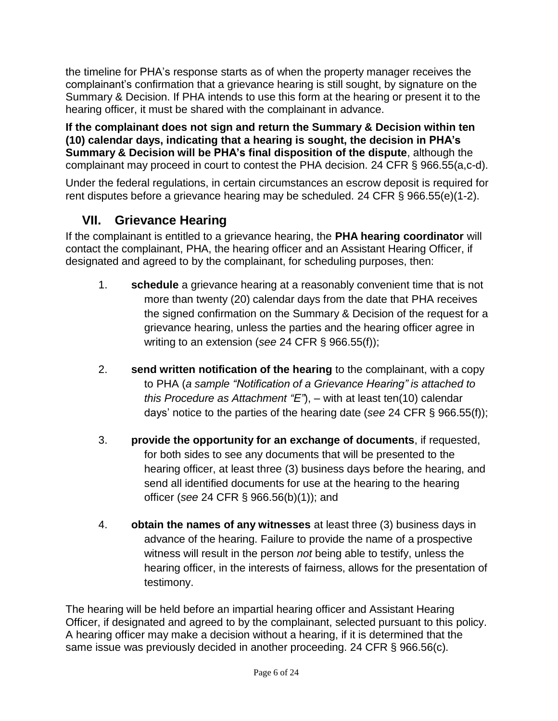the timeline for PHA's response starts as of when the property manager receives the complainant's confirmation that a grievance hearing is still sought, by signature on the Summary & Decision. If PHA intends to use this form at the hearing or present it to the hearing officer, it must be shared with the complainant in advance.

**If the complainant does not sign and return the Summary & Decision within ten (10) calendar days, indicating that a hearing is sought, the decision in PHA's Summary & Decision will be PHA's final disposition of the dispute**, although the complainant may proceed in court to contest the PHA decision. 24 CFR § 966.55(a,c-d).

Under the federal regulations, in certain circumstances an escrow deposit is required for rent disputes before a grievance hearing may be scheduled. 24 CFR § 966.55(e)(1-2).

## **VII. Grievance Hearing**

If the complainant is entitled to a grievance hearing, the **PHA hearing coordinator** will contact the complainant, PHA, the hearing officer and an Assistant Hearing Officer, if designated and agreed to by the complainant, for scheduling purposes, then:

- 1. **schedule** a grievance hearing at a reasonably convenient time that is not more than twenty (20) calendar days from the date that PHA receives the signed confirmation on the Summary & Decision of the request for a grievance hearing, unless the parties and the hearing officer agree in writing to an extension (*see* 24 CFR § 966.55(f));
- 2. **send written notification of the hearing** to the complainant, with a copy to PHA (*a sample "Notification of a Grievance Hearing" is attached to this Procedure as Attachment "E"*), – with at least ten(10) calendar days' notice to the parties of the hearing date (*see* 24 CFR § 966.55(f));
- 3. **provide the opportunity for an exchange of documents**, if requested, for both sides to see any documents that will be presented to the hearing officer, at least three (3) business days before the hearing, and send all identified documents for use at the hearing to the hearing officer (*see* 24 CFR § 966.56(b)(1)); and
- 4. **obtain the names of any witnesses** at least three (3) business days in advance of the hearing. Failure to provide the name of a prospective witness will result in the person *not* being able to testify, unless the hearing officer, in the interests of fairness, allows for the presentation of testimony.

The hearing will be held before an impartial hearing officer and Assistant Hearing Officer, if designated and agreed to by the complainant, selected pursuant to this policy. A hearing officer may make a decision without a hearing, if it is determined that the same issue was previously decided in another proceeding. 24 CFR § 966.56(c).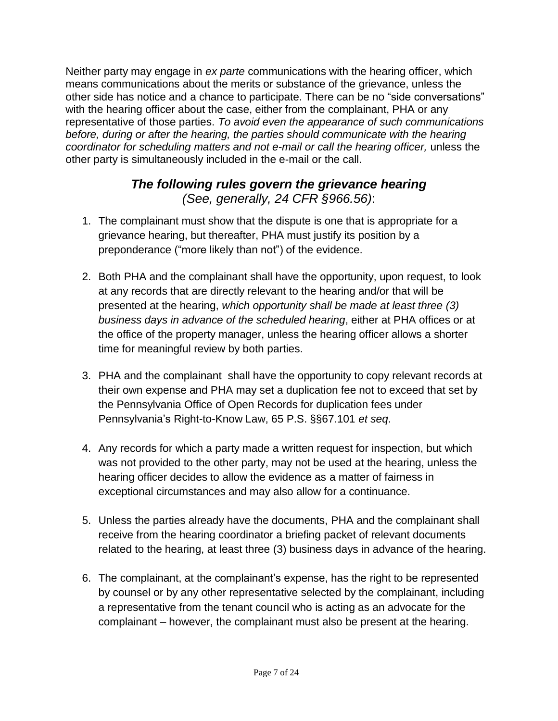Neither party may engage in *ex parte* communications with the hearing officer, which means communications about the merits or substance of the grievance, unless the other side has notice and a chance to participate. There can be no "side conversations" with the hearing officer about the case, either from the complainant, PHA or any representative of those parties. *To avoid even the appearance of such communications before, during or after the hearing, the parties should communicate with the hearing coordinator for scheduling matters and not e-mail or call the hearing officer,* unless the other party is simultaneously included in the e-mail or the call.

## *The following rules govern the grievance hearing (See, generally, 24 CFR §966.56)*:

- 1. The complainant must show that the dispute is one that is appropriate for a grievance hearing, but thereafter, PHA must justify its position by a preponderance ("more likely than not") of the evidence.
- 2. Both PHA and the complainant shall have the opportunity, upon request, to look at any records that are directly relevant to the hearing and/or that will be presented at the hearing, *which opportunity shall be made at least three (3) business days in advance of the scheduled hearing*, either at PHA offices or at the office of the property manager, unless the hearing officer allows a shorter time for meaningful review by both parties.
- 3. PHA and the complainant shall have the opportunity to copy relevant records at their own expense and PHA may set a duplication fee not to exceed that set by the Pennsylvania Office of Open Records for duplication fees under Pennsylvania's Right-to-Know Law, 65 P.S. §§67.101 *et seq*.
- 4. Any records for which a party made a written request for inspection, but which was not provided to the other party, may not be used at the hearing, unless the hearing officer decides to allow the evidence as a matter of fairness in exceptional circumstances and may also allow for a continuance.
- 5. Unless the parties already have the documents, PHA and the complainant shall receive from the hearing coordinator a briefing packet of relevant documents related to the hearing, at least three (3) business days in advance of the hearing.
- 6. The complainant, at the complainant's expense, has the right to be represented by counsel or by any other representative selected by the complainant, including a representative from the tenant council who is acting as an advocate for the complainant – however, the complainant must also be present at the hearing.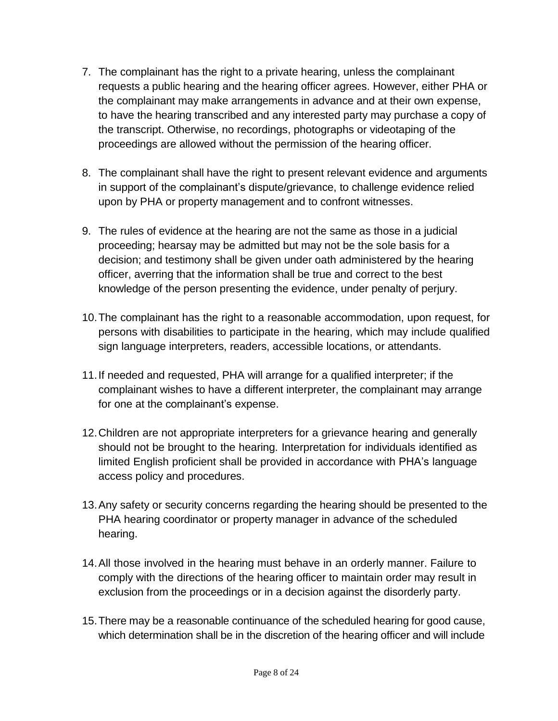- 7. The complainant has the right to a private hearing, unless the complainant requests a public hearing and the hearing officer agrees. However, either PHA or the complainant may make arrangements in advance and at their own expense, to have the hearing transcribed and any interested party may purchase a copy of the transcript. Otherwise, no recordings, photographs or videotaping of the proceedings are allowed without the permission of the hearing officer.
- 8. The complainant shall have the right to present relevant evidence and arguments in support of the complainant's dispute/grievance, to challenge evidence relied upon by PHA or property management and to confront witnesses.
- 9. The rules of evidence at the hearing are not the same as those in a judicial proceeding; hearsay may be admitted but may not be the sole basis for a decision; and testimony shall be given under oath administered by the hearing officer, averring that the information shall be true and correct to the best knowledge of the person presenting the evidence, under penalty of perjury.
- 10.The complainant has the right to a reasonable accommodation, upon request, for persons with disabilities to participate in the hearing, which may include qualified sign language interpreters, readers, accessible locations, or attendants.
- 11.If needed and requested, PHA will arrange for a qualified interpreter; if the complainant wishes to have a different interpreter, the complainant may arrange for one at the complainant's expense.
- 12.Children are not appropriate interpreters for a grievance hearing and generally should not be brought to the hearing. Interpretation for individuals identified as limited English proficient shall be provided in accordance with PHA's language access policy and procedures.
- 13.Any safety or security concerns regarding the hearing should be presented to the PHA hearing coordinator or property manager in advance of the scheduled hearing.
- 14.All those involved in the hearing must behave in an orderly manner. Failure to comply with the directions of the hearing officer to maintain order may result in exclusion from the proceedings or in a decision against the disorderly party.
- 15.There may be a reasonable continuance of the scheduled hearing for good cause, which determination shall be in the discretion of the hearing officer and will include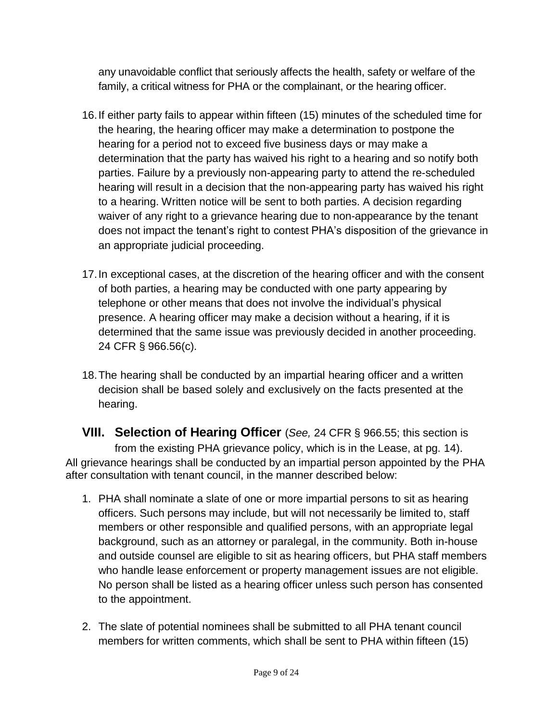any unavoidable conflict that seriously affects the health, safety or welfare of the family, a critical witness for PHA or the complainant, or the hearing officer.

- 16.If either party fails to appear within fifteen (15) minutes of the scheduled time for the hearing, the hearing officer may make a determination to postpone the hearing for a period not to exceed five business days or may make a determination that the party has waived his right to a hearing and so notify both parties. Failure by a previously non-appearing party to attend the re-scheduled hearing will result in a decision that the non-appearing party has waived his right to a hearing. Written notice will be sent to both parties. A decision regarding waiver of any right to a grievance hearing due to non-appearance by the tenant does not impact the tenant's right to contest PHA's disposition of the grievance in an appropriate judicial proceeding.
- 17.In exceptional cases, at the discretion of the hearing officer and with the consent of both parties, a hearing may be conducted with one party appearing by telephone or other means that does not involve the individual's physical presence. A hearing officer may make a decision without a hearing, if it is determined that the same issue was previously decided in another proceeding. 24 CFR § 966.56(c).
- 18.The hearing shall be conducted by an impartial hearing officer and a written decision shall be based solely and exclusively on the facts presented at the hearing.

**VIII. Selection of Hearing Officer** (*See,* 24 CFR § 966.55; this section is from the existing PHA grievance policy, which is in the Lease, at pg. 14). All grievance hearings shall be conducted by an impartial person appointed by the PHA after consultation with tenant council, in the manner described below:

- 1. PHA shall nominate a slate of one or more impartial persons to sit as hearing officers. Such persons may include, but will not necessarily be limited to, staff members or other responsible and qualified persons, with an appropriate legal background, such as an attorney or paralegal, in the community. Both in-house and outside counsel are eligible to sit as hearing officers, but PHA staff members who handle lease enforcement or property management issues are not eligible. No person shall be listed as a hearing officer unless such person has consented to the appointment.
- 2. The slate of potential nominees shall be submitted to all PHA tenant council members for written comments, which shall be sent to PHA within fifteen (15)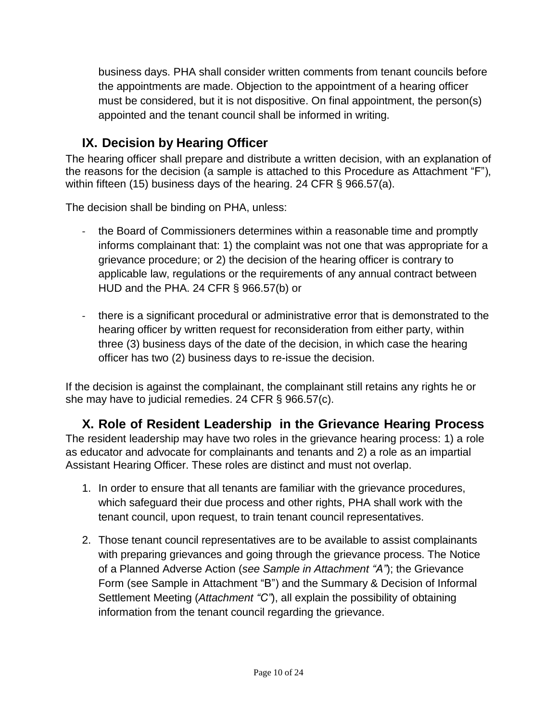business days. PHA shall consider written comments from tenant councils before the appointments are made. Objection to the appointment of a hearing officer must be considered, but it is not dispositive. On final appointment, the person(s) appointed and the tenant council shall be informed in writing.

## **IX. Decision by Hearing Officer**

The hearing officer shall prepare and distribute a written decision, with an explanation of the reasons for the decision (a sample is attached to this Procedure as Attachment "F"), within fifteen (15) business days of the hearing. 24 CFR § 966.57(a).

The decision shall be binding on PHA, unless:

- the Board of Commissioners determines within a reasonable time and promptly informs complainant that: 1) the complaint was not one that was appropriate for a grievance procedure; or 2) the decision of the hearing officer is contrary to applicable law, regulations or the requirements of any annual contract between HUD and the PHA. 24 CFR § 966.57(b) or
- there is a significant procedural or administrative error that is demonstrated to the hearing officer by written request for reconsideration from either party, within three (3) business days of the date of the decision, in which case the hearing officer has two (2) business days to re-issue the decision.

If the decision is against the complainant, the complainant still retains any rights he or she may have to judicial remedies. 24 CFR § 966.57(c).

**X. Role of Resident Leadership in the Grievance Hearing Process** The resident leadership may have two roles in the grievance hearing process: 1) a role as educator and advocate for complainants and tenants and 2) a role as an impartial Assistant Hearing Officer. These roles are distinct and must not overlap.

- 1. In order to ensure that all tenants are familiar with the grievance procedures, which safeguard their due process and other rights, PHA shall work with the tenant council, upon request, to train tenant council representatives.
- 2. Those tenant council representatives are to be available to assist complainants with preparing grievances and going through the grievance process. The Notice of a Planned Adverse Action (*see Sample in Attachment "A"*); the Grievance Form (see Sample in Attachment "B") and the Summary & Decision of Informal Settlement Meeting (*Attachment "C"*), all explain the possibility of obtaining information from the tenant council regarding the grievance.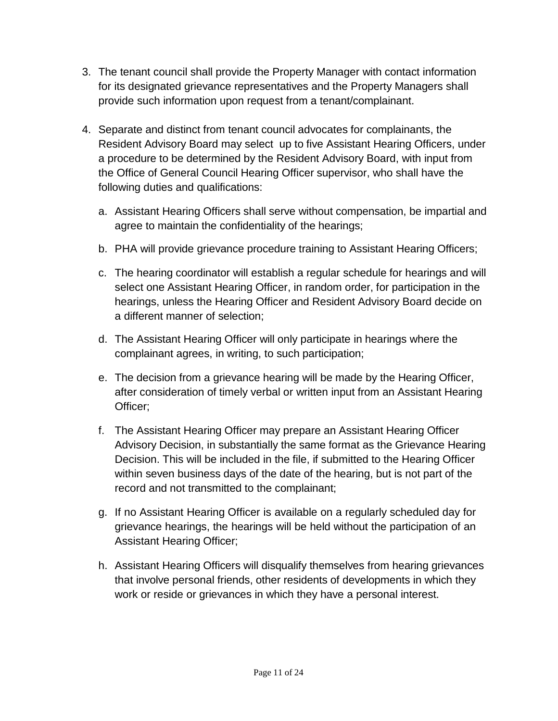- 3. The tenant council shall provide the Property Manager with contact information for its designated grievance representatives and the Property Managers shall provide such information upon request from a tenant/complainant.
- 4. Separate and distinct from tenant council advocates for complainants, the Resident Advisory Board may select up to five Assistant Hearing Officers, under a procedure to be determined by the Resident Advisory Board, with input from the Office of General Council Hearing Officer supervisor, who shall have the following duties and qualifications:
	- a. Assistant Hearing Officers shall serve without compensation, be impartial and agree to maintain the confidentiality of the hearings;
	- b. PHA will provide grievance procedure training to Assistant Hearing Officers;
	- c. The hearing coordinator will establish a regular schedule for hearings and will select one Assistant Hearing Officer, in random order, for participation in the hearings, unless the Hearing Officer and Resident Advisory Board decide on a different manner of selection;
	- d. The Assistant Hearing Officer will only participate in hearings where the complainant agrees, in writing, to such participation;
	- e. The decision from a grievance hearing will be made by the Hearing Officer, after consideration of timely verbal or written input from an Assistant Hearing Officer;
	- f. The Assistant Hearing Officer may prepare an Assistant Hearing Officer Advisory Decision, in substantially the same format as the Grievance Hearing Decision. This will be included in the file, if submitted to the Hearing Officer within seven business days of the date of the hearing, but is not part of the record and not transmitted to the complainant;
	- g. If no Assistant Hearing Officer is available on a regularly scheduled day for grievance hearings, the hearings will be held without the participation of an Assistant Hearing Officer;
	- h. Assistant Hearing Officers will disqualify themselves from hearing grievances that involve personal friends, other residents of developments in which they work or reside or grievances in which they have a personal interest.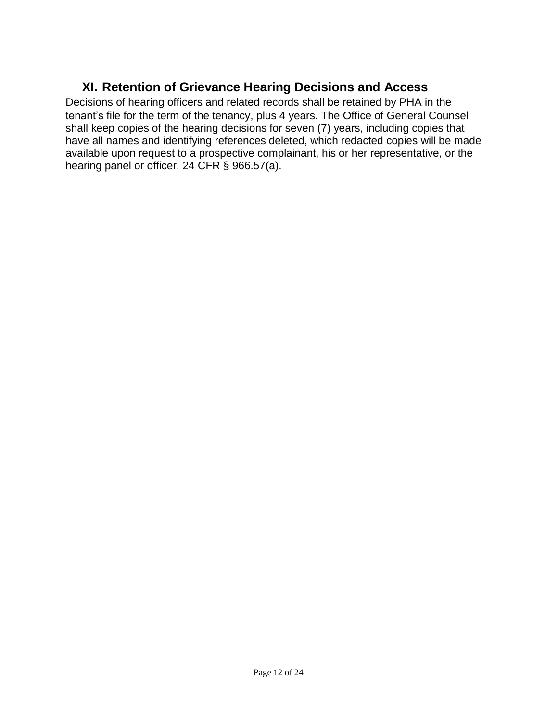## **XI. Retention of Grievance Hearing Decisions and Access**

Decisions of hearing officers and related records shall be retained by PHA in the tenant's file for the term of the tenancy, plus 4 years. The Office of General Counsel shall keep copies of the hearing decisions for seven (7) years, including copies that have all names and identifying references deleted, which redacted copies will be made available upon request to a prospective complainant, his or her representative, or the hearing panel or officer. 24 CFR § 966.57(a).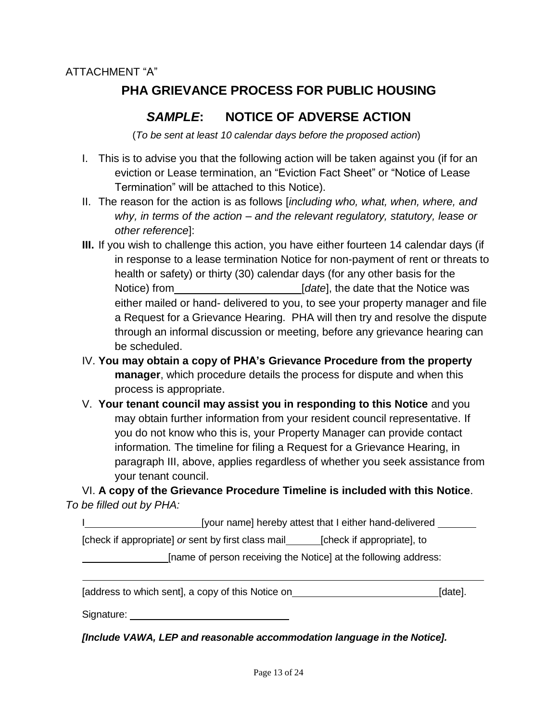## **PHA GRIEVANCE PROCESS FOR PUBLIC HOUSING**

## *SAMPLE***: NOTICE OF ADVERSE ACTION**

(*To be sent at least 10 calendar days before the proposed action*)

- I. This is to advise you that the following action will be taken against you (if for an eviction or Lease termination, an "Eviction Fact Sheet" or "Notice of Lease Termination" will be attached to this Notice).
- II. The reason for the action is as follows [*including who, what, when, where, and why, in terms of the action – and the relevant regulatory, statutory, lease or other reference*]:
- **III.** If you wish to challenge this action, you have either fourteen 14 calendar days (if in response to a lease termination Notice for non-payment of rent or threats to health or safety) or thirty (30) calendar days (for any other basis for the Notice) from *I Idate*, the date that the Notice was either mailed or hand- delivered to you, to see your property manager and file a Request for a Grievance Hearing. PHA will then try and resolve the dispute through an informal discussion or meeting, before any grievance hearing can be scheduled.
- IV. **You may obtain a copy of PHA's Grievance Procedure from the property manager**, which procedure details the process for dispute and when this process is appropriate.
- V. **Your tenant council may assist you in responding to this Notice** and you may obtain further information from your resident council representative. If you do not know who this is, your Property Manager can provide contact information*.* The timeline for filing a Request for a Grievance Hearing, in paragraph III, above, applies regardless of whether you seek assistance from your tenant council.

VI. **A copy of the Grievance Procedure Timeline is included with this Notice**. *To be filled out by PHA:*

I compute Tyour name] hereby attest that I either hand-delivered

[check if appropriate] *or* sent by first class mail\_\_\_\_\_\_\_\_[check if appropriate], to

[name of person receiving the Notice] at the following address:

|  | [address to which sent], a copy of this Notice on |         |  |
|--|---------------------------------------------------|---------|--|
|  |                                                   | [date]. |  |
|  |                                                   |         |  |

Signature: **Signature: Signature: Signature: Signature: Signature: Signature: Signature: Signature: Signature: Signature: Signature: Signature: Signature: Signature: Signature: Signature: Si** 

*[Include VAWA, LEP and reasonable accommodation language in the Notice].*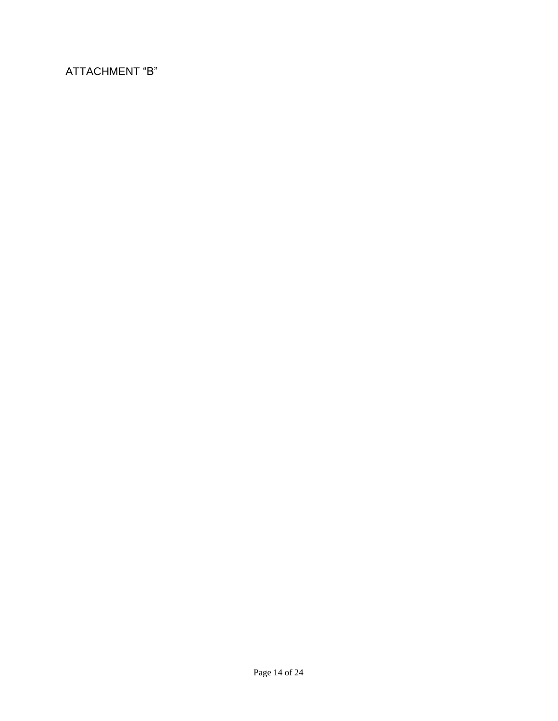## ATTACHMENT "B"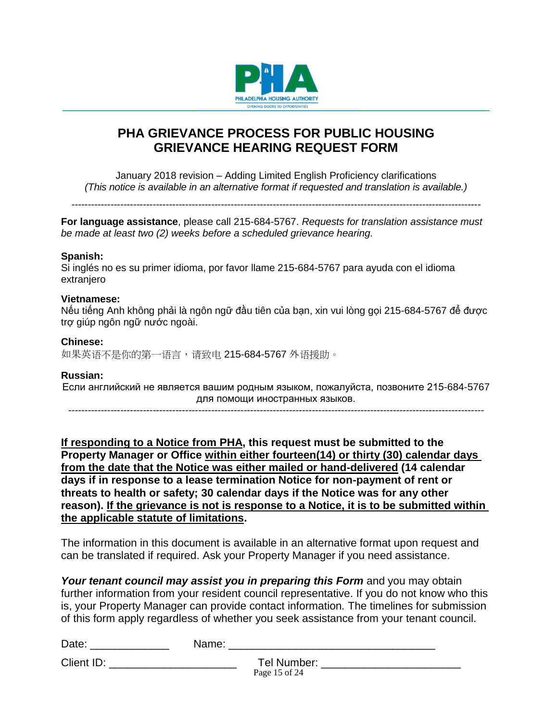

## **PHA GRIEVANCE PROCESS FOR PUBLIC HOUSING GRIEVANCE HEARING REQUEST FORM**

January 2018 revision – Adding Limited English Proficiency clarifications *(This notice is available in an alternative format if requested and translation is available.)*

*------------------------------------------------------------------------------------------------------------------------------*

**For language assistance**, please call 215-684-5767. *Requests for translation assistance must be made at least two (2) weeks before a scheduled grievance hearing.*

#### **Spanish:**

Si inglés no es su primer idioma, por favor llame 215-684-5767 para ayuda con el idioma extraniero

#### **Vietnamese:**

Nếu tiếng Anh không phải là ngôn ngữ đầu tiên của bạn, xin vui lòng gọi 215-684-5767 để được trợ giúp ngôn ngữ nước ngoài.

#### **Chinese:**

如果英语不是你的第一语言,请致电 215-684-5767 外语援助。

#### **Russian:**

Если английский не является вашим родным языком, пожалуйста, позвоните 215-684-5767 для помощи иностранных языков.

*--------------------------------------------------------------------------------------------------------------------------------*

**If responding to a Notice from PHA, this request must be submitted to the Property Manager or Office within either fourteen(14) or thirty (30) calendar days from the date that the Notice was either mailed or hand-delivered (14 calendar days if in response to a lease termination Notice for non-payment of rent or threats to health or safety; 30 calendar days if the Notice was for any other reason). If the grievance is not is response to a Notice, it is to be submitted within the applicable statute of limitations.**

The information in this document is available in an alternative format upon request and can be translated if required. Ask your Property Manager if you need assistance.

Your tenant council may assist you in preparing this Form and you may obtain further information from your resident council representative. If you do not know who this is, your Property Manager can provide contact information*.* The timelines for submission of this form apply regardless of whether you seek assistance from your tenant council.

| ∽<br>Date: | $\sim$ |
|------------|--------|
|            |        |

Client ID: \_\_\_\_\_\_\_\_\_\_\_\_\_\_\_\_\_\_\_\_\_ Tel Number: \_\_\_\_\_\_\_\_\_\_\_\_\_\_\_\_\_\_\_\_\_\_\_

Page 15 of 24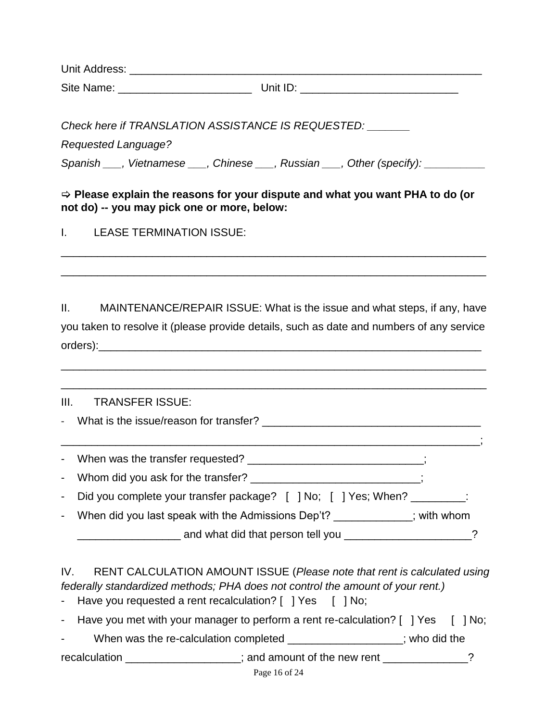Unit Address: \_\_\_\_\_\_\_\_\_\_\_\_\_\_\_\_\_\_\_\_\_\_\_\_\_\_\_\_\_\_\_\_\_\_\_\_\_\_\_\_\_\_\_\_\_\_\_\_\_\_\_\_\_\_\_\_\_\_ Site Name:  $\Box$  Unit ID:  $\Box$ 

*Check here if TRANSLATION ASSISTANCE IS REQUESTED: \_\_\_\_\_\_\_*

*Requested Language?* 

*Spanish \_\_\_, Vietnamese \_\_\_, Chinese \_\_\_, Russian \_\_\_, Other (specify): \_\_\_\_\_\_\_\_\_\_*

 **Please explain the reasons for your dispute and what you want PHA to do (or not do) -- you may pick one or more, below:**

\_\_\_\_\_\_\_\_\_\_\_\_\_\_\_\_\_\_\_\_\_\_\_\_\_\_\_\_\_\_\_\_\_\_\_\_\_\_\_\_\_\_\_\_\_\_\_\_\_\_\_\_\_\_\_\_\_\_\_\_\_\_\_\_\_\_\_\_\_\_

\_\_\_\_\_\_\_\_\_\_\_\_\_\_\_\_\_\_\_\_\_\_\_\_\_\_\_\_\_\_\_\_\_\_\_\_\_\_\_\_\_\_\_\_\_\_\_\_\_\_\_\_\_\_\_\_\_\_\_\_\_\_\_\_\_\_\_\_\_\_

I. LEASE TERMINATION ISSUE:

II. MAINTENANCE/REPAIR ISSUE: What is the issue and what steps, if any, have you taken to resolve it (please provide details, such as date and numbers of any service  $order$ s):  $\blacksquare$ 

\_\_\_\_\_\_\_\_\_\_\_\_\_\_\_\_\_\_\_\_\_\_\_\_\_\_\_\_\_\_\_\_\_\_\_\_\_\_\_\_\_\_\_\_\_\_\_\_\_\_\_\_\_\_\_\_\_\_\_\_\_\_\_\_\_\_\_\_\_\_

\_\_\_\_\_\_\_\_\_\_\_\_\_\_\_\_\_\_\_\_\_\_\_\_\_\_\_\_\_\_\_\_\_\_\_\_\_\_\_\_\_\_\_\_\_\_\_\_\_\_\_\_\_\_\_\_\_\_\_\_\_\_\_\_\_\_\_\_\_\_ III. TRANSFER ISSUE: - What is the issue/reason for transfer? \_\_\_\_\_\_\_\_\_\_\_\_\_\_\_\_\_\_\_\_\_\_\_\_\_\_\_\_\_\_\_\_\_\_\_\_\_\_\_\_\_\_\_\_\_\_\_\_\_\_\_\_\_\_\_\_\_\_\_\_\_\_\_\_\_\_\_\_\_; - When was the transfer requested? \_\_\_\_\_\_\_\_\_\_\_\_\_\_\_\_\_\_\_\_\_\_\_\_\_\_\_\_\_\_; - Whom did you ask for the transfer? \_\_\_\_\_\_\_\_\_\_\_\_\_\_\_\_\_\_\_\_\_\_\_\_\_\_\_; - Did you complete your transfer package? [ ] No; [ ] Yes; When? \_\_\_\_\_\_\_\_: - When did you last speak with the Admissions Dep't? \_\_\_\_\_\_\_\_\_\_\_\_; with whom \_\_\_\_\_\_\_\_\_\_\_\_\_\_\_\_\_ and what did that person tell you \_\_\_\_\_\_\_\_\_\_\_\_\_\_\_\_\_\_\_\_\_?

IV. RENT CALCULATION AMOUNT ISSUE (*Please note that rent is calculated using federally standardized methods; PHA does not control the amount of your rent.)*

- Have you requested a rent recalculation? [ ] Yes [ ] No;

- Have you met with your manager to perform a rent re-calculation? [ ] Yes [ ] No;

- When was the re-calculation completed \_\_\_\_\_\_\_\_\_\_\_\_\_\_\_\_\_\_; who did the recalculation **contract the interval** term is and amount of the new rent and  $\overline{?}$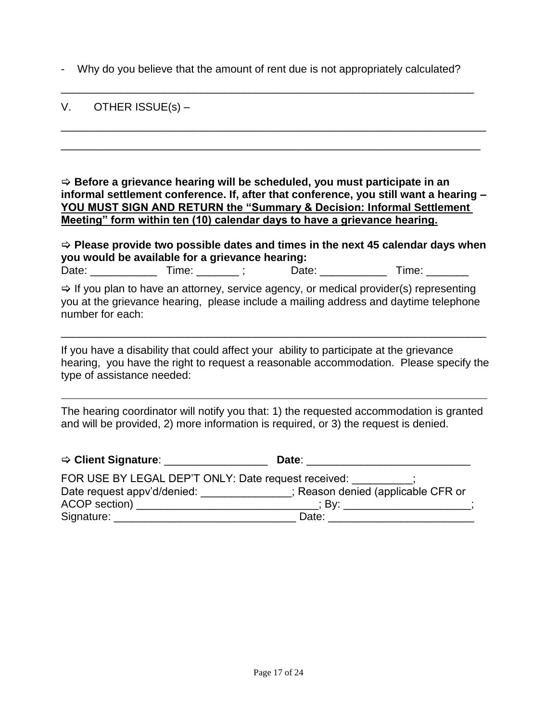- Why do you believe that the amount of rent due is not appropriately calculated?

\_\_\_\_\_\_\_\_\_\_\_\_\_\_\_\_\_\_\_\_\_\_\_\_\_\_\_\_\_\_\_\_\_\_\_\_\_\_\_\_\_\_\_\_\_\_\_\_\_\_\_\_\_\_\_\_\_\_\_\_\_\_\_\_\_\_\_\_

\_\_\_\_\_\_\_\_\_\_\_\_\_\_\_\_\_\_\_\_\_\_\_\_\_\_\_\_\_\_\_\_\_\_\_\_\_\_\_\_\_\_\_\_\_\_\_\_\_\_\_\_\_\_\_\_\_\_\_\_\_\_\_\_\_\_\_\_\_\_

\_\_\_\_\_\_\_\_\_\_\_\_\_\_\_\_\_\_\_\_\_\_\_\_\_\_\_\_\_\_\_\_\_\_\_\_\_\_\_\_\_\_\_\_\_\_\_\_\_\_\_\_\_\_\_\_\_\_\_\_\_\_\_\_\_\_\_\_\_

#### V. OTHER ISSUE(s) –

 **Before a grievance hearing will be scheduled, you must participate in an informal settlement conference. If, after that conference, you still want a hearing – YOU MUST SIGN AND RETURN the "Summary & Decision: Informal Settlement Meeting" form within ten (10) calendar days to have a grievance hearing.**

| $\Rightarrow$ Please provide two possible dates and times in the next 45 calendar days when<br>you would be available for a grievance hearing: |  |  |  |                                                                                                                                                                                            |
|------------------------------------------------------------------------------------------------------------------------------------------------|--|--|--|--------------------------------------------------------------------------------------------------------------------------------------------------------------------------------------------|
|                                                                                                                                                |  |  |  | Date: Time:                                                                                                                                                                                |
| number for each:                                                                                                                               |  |  |  | $\Rightarrow$ If you plan to have an attorney, service agency, or medical provider(s) representing<br>you at the grievance hearing, please include a mailing address and daytime telephone |

If you have a disability that could affect your ability to participate at the grievance hearing, you have the right to request a reasonable accommodation. Please specify the type of assistance needed:

\_\_\_\_\_\_\_\_\_\_\_\_\_\_\_\_\_\_\_\_\_\_\_\_\_\_\_\_\_\_\_\_\_\_\_\_\_\_\_\_\_\_\_\_\_\_\_\_\_\_\_\_\_\_\_\_\_\_\_\_\_\_\_\_\_\_\_\_\_\_

The hearing coordinator will notify you that: 1) the requested accommodation is granted and will be provided, 2) more information is required, or 3) the request is denied.

| $\Rightarrow$ Client Signature: $\qquad \qquad$ | Date:                                               |
|-------------------------------------------------|-----------------------------------------------------|
|                                                 | FOR USE BY LEGAL DEP'T ONLY: Date request received: |
| Date request appv'd/denied:                     | : Reason denied (applicable CFR or                  |
| ACOP section) ___________________               | ∴ Bv∶                                               |
| Signature:                                      | Date:                                               |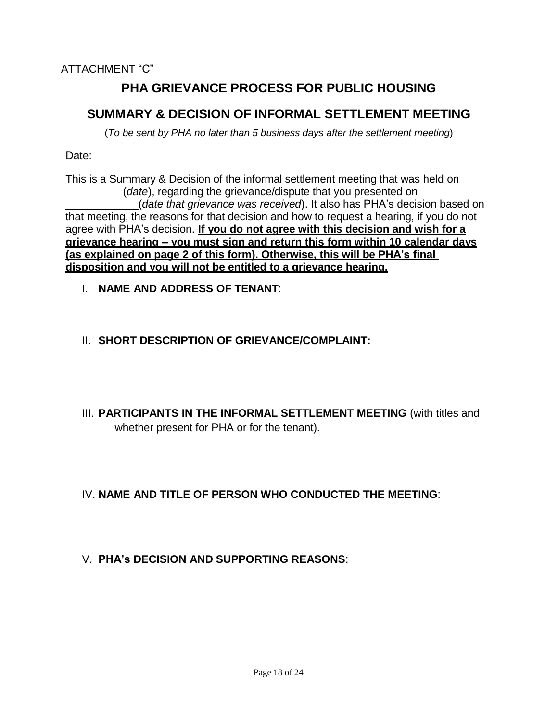## **PHA GRIEVANCE PROCESS FOR PUBLIC HOUSING**

## **SUMMARY & DECISION OF INFORMAL SETTLEMENT MEETING**

(*To be sent by PHA no later than 5 business days after the settlement meeting*)

Date: \_\_\_\_\_\_\_\_\_\_\_\_\_\_

This is a Summary & Decision of the informal settlement meeting that was held on (*date*), regarding the grievance/dispute that you presented on (*date that grievance was received*). It also has PHA's decision based on that meeting, the reasons for that decision and how to request a hearing, if you do not agree with PHA's decision. **If you do not agree with this decision and wish for a grievance hearing – you must sign and return this form within 10 calendar days (as explained on page 2 of this form). Otherwise, this will be PHA's final disposition and you will not be entitled to a grievance hearing.**

- I. **NAME AND ADDRESS OF TENANT**:
- II. **SHORT DESCRIPTION OF GRIEVANCE/COMPLAINT:**
- III. **PARTICIPANTS IN THE INFORMAL SETTLEMENT MEETING** (with titles and whether present for PHA or for the tenant).

IV. **NAME AND TITLE OF PERSON WHO CONDUCTED THE MEETING**:

V. **PHA's DECISION AND SUPPORTING REASONS**: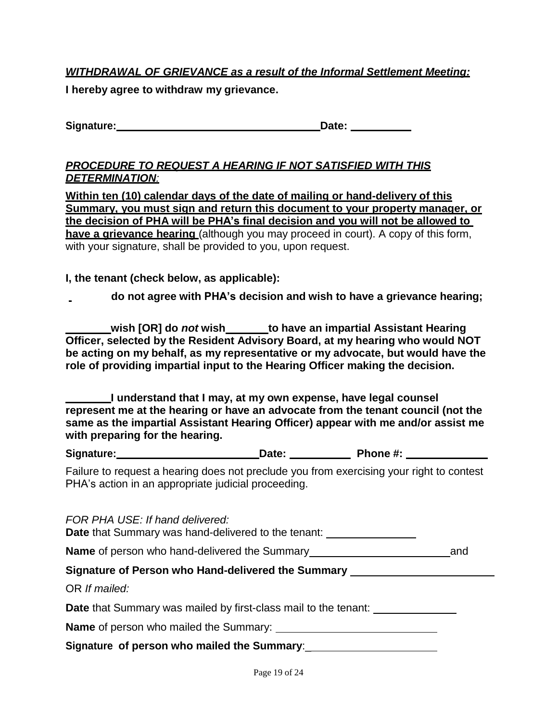### *WITHDRAWAL OF GRIEVANCE as a result of the Informal Settlement Meeting:*

**I hereby agree to withdraw my grievance.**

**Signature: Date:** 

#### *PROCEDURE TO REQUEST A HEARING IF NOT SATISFIED WITH THIS DETERMINATION:*

**Within ten (10) calendar days of the date of mailing or hand-delivery of this Summary, you must sign and return this document to your property manager, or the decision of PHA will be PHA's final decision and you will not be allowed to have a grievance hearing** (although you may proceed in court). A copy of this form, with your signature, shall be provided to you, upon request.

#### **I, the tenant (check below, as applicable):**

**do not agree with PHA's decision and wish to have a grievance hearing;**

**wish [OR] do** *not* **wish to have an impartial Assistant Hearing Officer, selected by the Resident Advisory Board, at my hearing who would NOT be acting on my behalf, as my representative or my advocate, but would have the role of providing impartial input to the Hearing Officer making the decision.**

**I understand that I may, at my own expense, have legal counsel represent me at the hearing or have an advocate from the tenant council (not the same as the impartial Assistant Hearing Officer) appear with me and/or assist me with preparing for the hearing.**

| Signature: | Date: | Phone #: |
|------------|-------|----------|
|            |       |          |

Failure to request a hearing does not preclude you from exercising your right to contest PHA's action in an appropriate judicial proceeding.

| FOR PHA USE: If hand delivered:<br><b>Date</b> that Summary was hand-delivered to the tenant:                                                                                                                                            |  |
|------------------------------------------------------------------------------------------------------------------------------------------------------------------------------------------------------------------------------------------|--|
| <b>Name</b> of person who hand-delivered the Summary <b>Name</b> of person who hand-delivered the Summary                                                                                                                                |  |
| Signature of Person who Hand-delivered the Summary Latin Manuscript Construction of Person                                                                                                                                               |  |
| OR If mailed:                                                                                                                                                                                                                            |  |
| Date that Summary was mailed by first-class mail to the tenant:                                                                                                                                                                          |  |
| <b>Name</b> of person who mailed the Summary: <u>entitled</u> and the summary of the summary of the summary of the summary of the summary of the summary of the summary of the summary of the summary of the summary of the summary of t |  |
|                                                                                                                                                                                                                                          |  |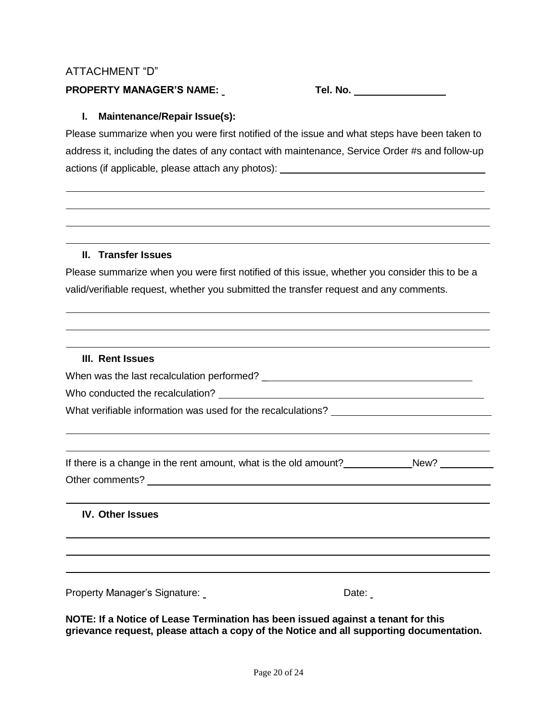#### ATTACHMENT "D"

#### **PROPERTY MANAGER'S NAME: Tel. No.**

#### **I. Maintenance/Repair Issue(s):**

Please summarize when you were first notified of the issue and what steps have been taken to address it, including the dates of any contact with maintenance, Service Order #s and follow-up actions (if applicable, please attach any photos):

#### **II. Transfer Issues**

Please summarize when you were first notified of this issue, whether you consider this to be a valid/verifiable request, whether you submitted the transfer request and any comments.

#### **III. Rent Issues**

When was the last recalculation performed? \_

Who conducted the recalculation?

What verifiable information was used for the recalculations?

If there is a change in the rent amount, what is the old amount? New? Other comments? **Example 2018** 

#### **IV. Other Issues**

Property Manager's Signature: Date: Date:

**NOTE: If a Notice of Lease Termination has been issued against a tenant for this grievance request, please attach a copy of the Notice and all supporting documentation.**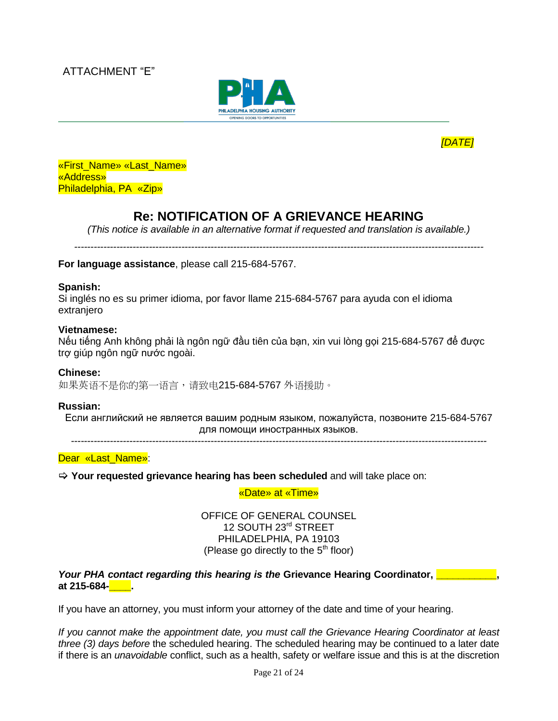



«First\_Name» «Last\_Name» «Address» Philadelphia, PA «Zip»

## **Re: NOTIFICATION OF A GRIEVANCE HEARING**

*(This notice is available in an alternative format if requested and translation is available.)*

*------------------------------------------------------------------------------------------------------------------------------*

**For language assistance**, please call 215-684-5767.

#### **Spanish:**

Si inglés no es su primer idioma, por favor llame 215-684-5767 para ayuda con el idioma extranjero

#### **Vietnamese:**

Nếu tiếng Anh không phải là ngôn ngữ đầu tiên của bạn, xin vui lòng gọi 215-684-5767 để được trợ giúp ngôn ngữ nước ngoài.

#### **Chinese:**

如果英语不是你的第一语言,请致电215-684-5767 外语援助。

#### **Russian:**

Если английский не является вашим родным языком, пожалуйста, позвоните 215-684-5767 для помощи иностранных языков.

*--------------------------------------------------------------------------------------------------------------------------------*

Dear «Last Name»:

**Your requested grievance hearing has been scheduled** and will take place on:

«Date» at «Time»

OFFICE OF GENERAL COUNSEL 12 SOUTH 23rd STREET PHILADELPHIA, PA 19103 (Please go directly to the  $5<sup>th</sup>$  floor)

*Your PHA contact regarding this hearing is the Grievance Hearing Coordinator*, **Definition**, **at 215-684-\_\_\_\_.**

If you have an attorney, you must inform your attorney of the date and time of your hearing.

*If you cannot make the appointment date, you must call the Grievance Hearing Coordinator at least three (3) days before* the scheduled hearing. The scheduled hearing may be continued to a later date if there is an *unavoidable* conflict, such as a health, safety or welfare issue and this is at the discretion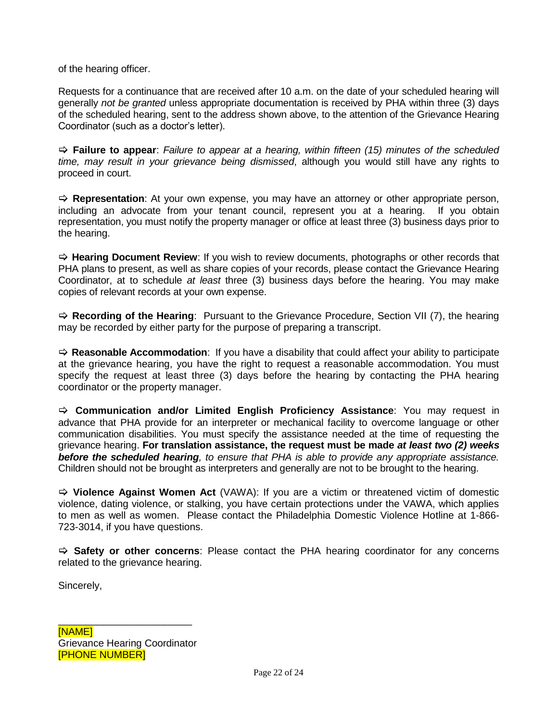of the hearing officer.

Requests for a continuance that are received after 10 a.m. on the date of your scheduled hearing will generally *not be granted* unless appropriate documentation is received by PHA within three (3) days of the scheduled hearing, sent to the address shown above, to the attention of the Grievance Hearing Coordinator (such as a doctor's letter).

 **Failure to appear**: *Failure to appear at a hearing, within fifteen (15) minutes of the scheduled time, may result in your grievance being dismissed*, although you would still have any rights to proceed in court.

 $\Rightarrow$  **Representation**: At your own expense, you may have an attorney or other appropriate person, including an advocate from your tenant council, represent you at a hearing. If you obtain representation, you must notify the property manager or office at least three (3) business days prior to the hearing.

 $\Rightarrow$  **Hearing Document Review**: If you wish to review documents, photographs or other records that PHA plans to present, as well as share copies of your records, please contact the Grievance Hearing Coordinator, at to schedule *at least* three (3) business days before the hearing. You may make copies of relevant records at your own expense.

 $\Rightarrow$  **Recording of the Hearing**: Pursuant to the Grievance Procedure, Section VII (7), the hearing may be recorded by either party for the purpose of preparing a transcript.

 **Reasonable Accommodation**: If you have a disability that could affect your ability to participate at the grievance hearing, you have the right to request a reasonable accommodation. You must specify the request at least three (3) days before the hearing by contacting the PHA hearing coordinator or the property manager.

 **Communication and/or Limited English Proficiency Assistance**: You may request in advance that PHA provide for an interpreter or mechanical facility to overcome language or other communication disabilities. You must specify the assistance needed at the time of requesting the grievance hearing. **For translation assistance, the request must be made** *at least two (2) weeks before the scheduled hearing, to ensure that PHA is able to provide any appropriate assistance.*  Children should not be brought as interpreters and generally are not to be brought to the hearing.

 **Violence Against Women Act** (VAWA): If you are a victim or threatened victim of domestic violence, dating violence, or stalking, you have certain protections under the VAWA, which applies to men as well as women. Please contact the Philadelphia Domestic Violence Hotline at 1-866- 723-3014, if you have questions.

 **Safety or other concerns**: Please contact the PHA hearing coordinator for any concerns related to the grievance hearing.

Sincerely,

\_\_\_\_\_\_\_\_\_\_\_\_\_\_\_\_\_\_\_\_\_\_\_\_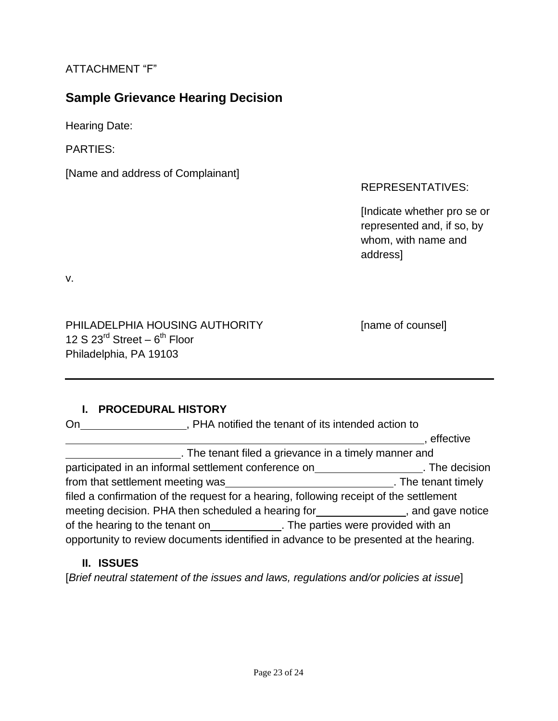## ATTACHMENT "F"

## **Sample Grievance Hearing Decision**

Hearing Date:

PARTIES:

[Name and address of Complainant]

#### REPRESENTATIVES:

[Indicate whether pro se or represented and, if so, by whom, with name and address]

v.

PHILADELPHIA HOUSING AUTHORITY [name of counsel] 12 S  $23^{\text{rd}}$  Street  $-6^{\text{th}}$  Floor Philadelphia, PA 19103

#### **I. PROCEDURAL HISTORY**

| , PHA notified the tenant of its intended action to<br>On                              |                     |  |
|----------------------------------------------------------------------------------------|---------------------|--|
|                                                                                        | effective           |  |
| . The tenant filed a grievance in a timely manner and                                  |                     |  |
| participated in an informal settlement conference on                                   | . The decision      |  |
| from that settlement meeting was                                                       | . The tenant timely |  |
| filed a confirmation of the request for a hearing, following receipt of the settlement |                     |  |
| meeting decision. PHA then scheduled a hearing for the same state of and gave notice   |                     |  |
| of the hearing to the tenant on______________. The parties were provided with an       |                     |  |
| opportunity to review documents identified in advance to be presented at the hearing.  |                     |  |

#### **II. ISSUES**

[*Brief neutral statement of the issues and laws, regulations and/or policies at issue*]